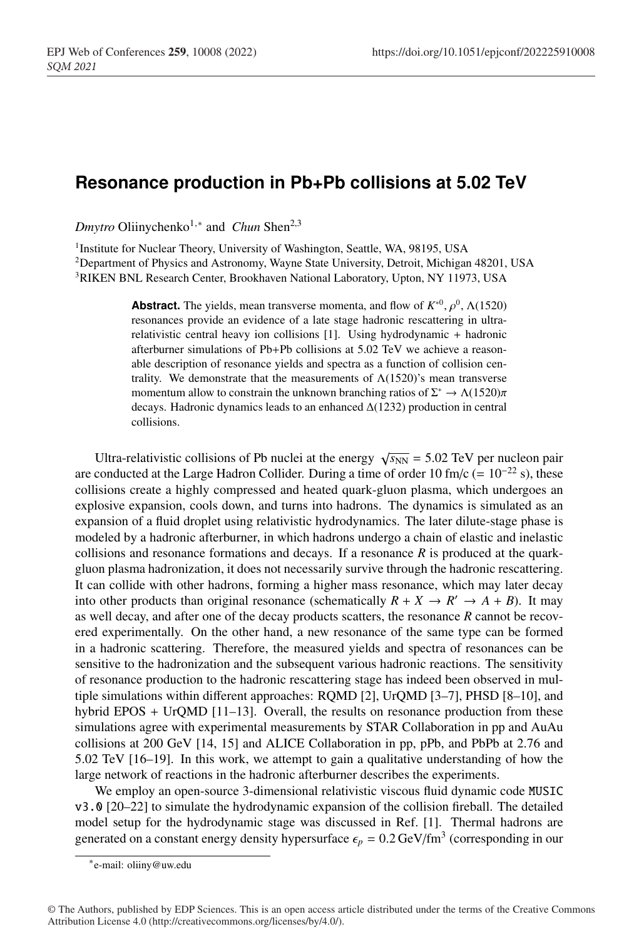## **Resonance production in Pb+Pb collisions at 5.02 TeV**

*Dmytro* Oliinychenko<sup>1,∗</sup> and *Chun* Shen<sup>2,3</sup>

<sup>1</sup>Institute for Nuclear Theory, University of Washington, Seattle, WA, 98195, USA 2Department of Physics and Astronomy, Wayne State University, Detroit, Michigan 48201, USA 3RIKEN BNL Research Center, Brookhaven National Laboratory, Upton, NY 11973, USA

> **Abstract.** The yields, mean transverse momenta, and flow of  $K^{*0}$ ,  $\rho^0$ ,  $\Lambda(1520)$ resonances provide an evidence of a late stage hadronic rescattering in ultrarelativistic central heavy ion collisions [1]. Using hydrodynamic + hadronic afterburner simulations of Pb+Pb collisions at 5.02 TeV we achieve a reasonable description of resonance yields and spectra as a function of collision centrality. We demonstrate that the measurements of  $\Lambda(1520)$ 's mean transverse momentum allow to constrain the unknown branching ratios of  $\Sigma^* \to \Lambda(1520)\pi$ decays. Hadronic dynamics leads to an enhanced ∆(1232) production in central collisions.

Ultra-relativistic collisions of Pb nuclei at the energy  $\sqrt{s_{NN}}$  = 5.02 TeV per nucleon pair are conducted at the Large Hadron Collider. During a time of order 10 fm/c (=  $10^{-22}$  s), these collisions create a highly compressed and heated quark-gluon plasma, which undergoes an explosive expansion, cools down, and turns into hadrons. The dynamics is simulated as an expansion of a fluid droplet using relativistic hydrodynamics. The later dilute-stage phase is modeled by a hadronic afterburner, in which hadrons undergo a chain of elastic and inelastic collisions and resonance formations and decays. If a resonance *R* is produced at the quarkgluon plasma hadronization, it does not necessarily survive through the hadronic rescattering. It can collide with other hadrons, forming a higher mass resonance, which may later decay into other products than original resonance (schematically  $R + X \rightarrow R' \rightarrow A + B$ ). It may as well decay, and after one of the decay products scatters, the resonance *R* cannot be recovered experimentally. On the other hand, a new resonance of the same type can be formed in a hadronic scattering. Therefore, the measured yields and spectra of resonances can be sensitive to the hadronization and the subsequent various hadronic reactions. The sensitivity of resonance production to the hadronic rescattering stage has indeed been observed in multiple simulations within different approaches: RQMD [2], UrQMD [3–7], PHSD [8–10], and hybrid EPOS + UrQMD [11–13]. Overall, the results on resonance production from these simulations agree with experimental measurements by STAR Collaboration in pp and AuAu collisions at 200 GeV [14, 15] and ALICE Collaboration in pp, pPb, and PbPb at 2.76 and 5.02 TeV [16–19]. In this work, we attempt to gain a qualitative understanding of how the large network of reactions in the hadronic afterburner describes the experiments.

We employ an open-source 3-dimensional relativistic viscous fluid dynamic code MUSIC v3.0 [20–22] to simulate the hydrodynamic expansion of the collision fireball. The detailed model setup for the hydrodynamic stage was discussed in Ref. [1]. Thermal hadrons are generated on a constant energy density hypersurface  $\epsilon_p = 0.2 \text{ GeV}/\text{fm}^3$  (corresponding in our

<sup>∗</sup>e-mail: oliiny@uw.edu

<sup>©</sup> The Authors, published by EDP Sciences. This is an open access article distributed under the terms of the Creative Commons Attribution License 4.0 (http://creativecommons.org/licenses/by/4.0/).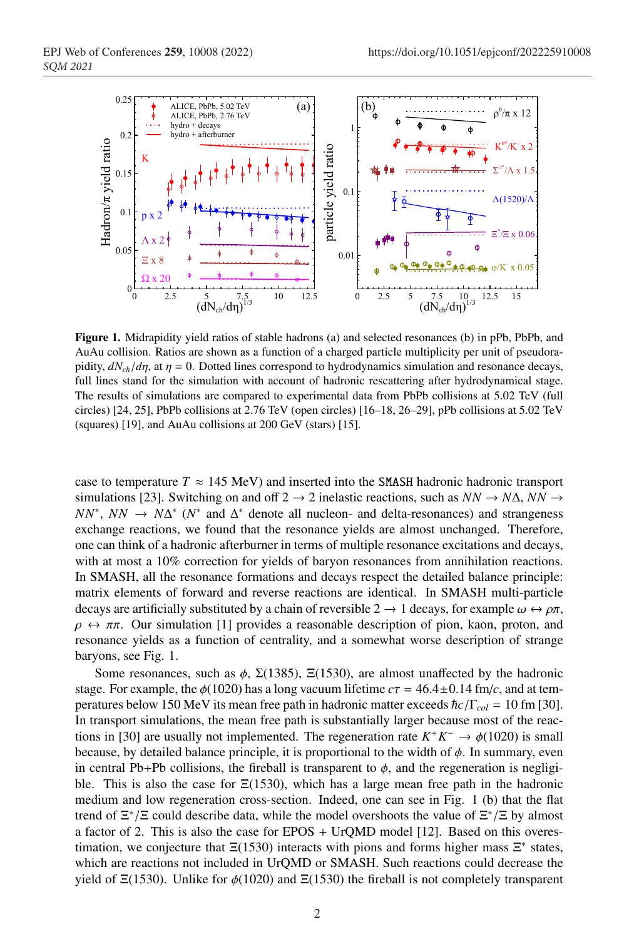

Figure 1. Midrapidity yield ratios of stable hadrons (a) and selected resonances (b) in pPb, PbPb, and AuAu collision. Ratios are shown as a function of a charged particle multiplicity per unit of pseudorapidity,  $dN_{ch}/d\eta$ , at  $\eta = 0$ . Dotted lines correspond to hydrodynamics simulation and resonance decays, full lines stand for the simulation with account of hadronic rescattering after hydrodynamical stage. The results of simulations are compared to experimental data from PbPb collisions at 5.02 TeV (full circles) [24, 25], PbPb collisions at 2.76 TeV (open circles) [16–18, 26–29], pPb collisions at 5.02 TeV (squares) [19], and AuAu collisions at 200 GeV (stars) [15].

case to temperature  $T \approx 145 \text{ MeV}$ ) and inserted into the SMASH hadronic hadronic transport simulations [23]. Switching on and off  $2 \rightarrow 2$  inelastic reactions, such as  $NN \rightarrow N\Delta$ ,  $NN \rightarrow$  $NN^*$ ,  $NN \rightarrow N\Delta^*$  ( $N^*$  and  $\Delta^*$  denote all nucleon- and delta-resonances) and strangeness exchange reactions, we found that the resonance yields are almost unchanged. Therefore, one can think of a hadronic afterburner in terms of multiple resonance excitations and decays, with at most a 10% correction for yields of baryon resonances from annihilation reactions. In SMASH, all the resonance formations and decays respect the detailed balance principle: matrix elements of forward and reverse reactions are identical. In SMASH multi-particle decays are artificially substituted by a chain of reversible  $2 \rightarrow 1$  decays, for example  $\omega \leftrightarrow \rho \pi$ ,  $\rho \leftrightarrow \pi \pi$ . Our simulation [1] provides a reasonable description of pion, kaon, proton, and resonance yields as a function of centrality, and a somewhat worse description of strange baryons, see Fig. 1.

Some resonances, such as  $\phi$ ,  $\Sigma(1385)$ ,  $\Sigma(1530)$ , are almost unaffected by the hadronic stage. For example, the  $\phi(1020)$  has a long vacuum lifetime  $c\tau = 46.4 \pm 0.14$  fm/*c*, and at temperatures below 150 MeV its mean free path in hadronic matter exceeds  $\hbar c/\Gamma_{col} = 10$  fm [30]. In transport simulations, the mean free path is substantially larger because most of the reactions in [30] are usually not implemented. The regeneration rate  $K^+K^- \rightarrow \phi(1020)$  is small because, by detailed balance principle, it is proportional to the width of  $\phi$ . In summary, even in central Pb+Pb collisions, the fireball is transparent to  $\phi$ , and the regeneration is negligible. This is also the case for  $E(1530)$ , which has a large mean free path in the hadronic medium and low regeneration cross-section. Indeed, one can see in Fig. 1 (b) that the flat trend of  $\Xi^*/\Xi$  could describe data, while the model overshoots the value of  $\Xi^*/\Xi$  by almost a factor of 2. This is also the case for EPOS + UrQMD model [12]. Based on this overestimation, we conjecture that  $\Xi(1530)$  interacts with pions and forms higher mass  $\Xi^*$  states, which are reactions not included in UrQMD or SMASH. Such reactions could decrease the yield of  $\Xi(1530)$ . Unlike for  $\phi(1020)$  and  $\Xi(1530)$  the fireball is not completely transparent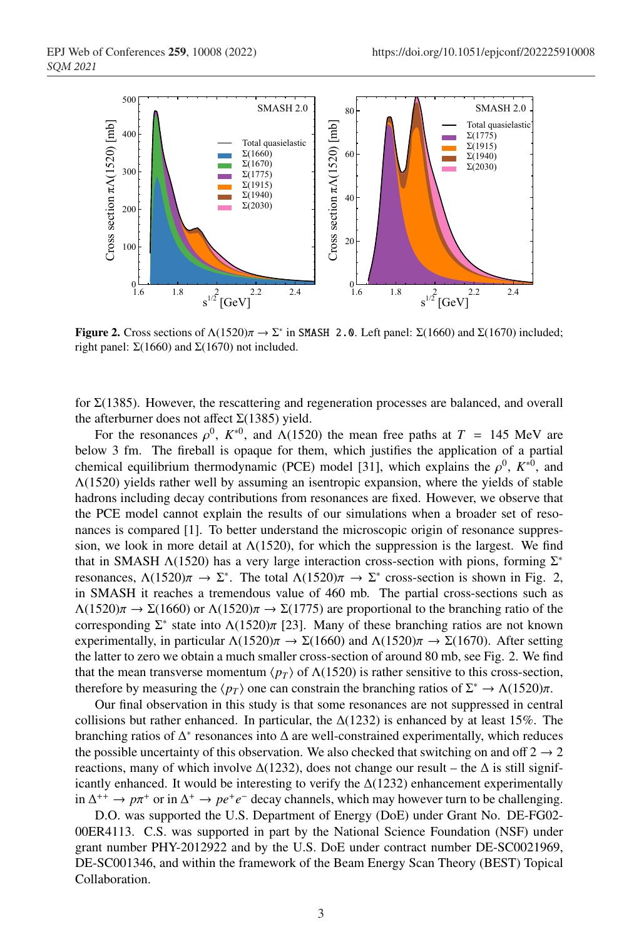

**Figure 2.** Cross sections of  $\Lambda(1520)\pi \to \Sigma^*$  in SMASH 2.0. Left panel:  $\Sigma(1660)$  and  $\Sigma(1670)$  included; right panel:  $Σ(1660)$  and  $Σ(1670)$  not included.

for  $\Sigma(1385)$ . However, the rescattering and regeneration processes are balanced, and overall the afterburner does not affect  $Σ(1385)$  yield.

For the resonances  $\rho^0$ ,  $K^{*0}$ , and  $\Lambda(1520)$  the mean free paths at  $T = 145$  MeV are below 3 fm. The fireball is opaque for them, which justifies the application of a partial chemical equilibrium thermodynamic (PCE) model [31], which explains the  $\rho^0$ ,  $K^{*0}$ , and Λ(1520) yields rather well by assuming an isentropic expansion, where the yields of stable hadrons including decay contributions from resonances are fixed. However, we observe that the PCE model cannot explain the results of our simulations when a broader set of resonances is compared [1]. To better understand the microscopic origin of resonance suppression, we look in more detail at  $\Lambda(1520)$ , for which the suppression is the largest. We find that in SMASH  $\Lambda$ (1520) has a very large interaction cross-section with pions, forming  $\Sigma^*$ resonances,  $\Lambda(1520)\pi \to \Sigma^*$ . The total  $\Lambda(1520)\pi \to \Sigma^*$  cross-section is shown in Fig. 2, in SMASH it reaches a tremendous value of 460 mb. The partial cross-sections such as  $Λ(1520)π$   $\rightarrow$  Σ(1660) or  $Λ(1520)π$   $\rightarrow$  Σ(1775) are proportional to the branching ratio of the corresponding  $\Sigma^*$  state into  $Λ(1520)π$  [23]. Many of these branching ratios are not known experimentally, in particular  $\Lambda(1520)\pi \to \Sigma(1660)$  and  $\Lambda(1520)\pi \to \Sigma(1670)$ . After setting the latter to zero we obtain a much smaller cross-section of around 80 mb, see Fig. 2. We find that the mean transverse momentum  $\langle p_T \rangle$  of  $\Lambda(1520)$  is rather sensitive to this cross-section, therefore by measuring the  $\langle p_T \rangle$  one can constrain the branching ratios of  $\Sigma^* \to \Lambda(1520)\pi$ .

Our final observation in this study is that some resonances are not suppressed in central collisions but rather enhanced. In particular, the  $\Delta(1232)$  is enhanced by at least 15%. The branching ratios of ∆<sup>∗</sup> resonances into ∆ are well-constrained experimentally, which reduces the possible uncertainty of this observation. We also checked that switching on and off  $2 \rightarrow 2$ reactions, many of which involve  $\Delta(1232)$ , does not change our result – the  $\Delta$  is still significantly enhanced. It would be interesting to verify the  $\Delta(1232)$  enhancement experimentally in  $\Delta^{++}$  →  $p\pi^+$  or in  $\Delta^+$  →  $pe^+e^-$  decay channels, which may however turn to be challenging.

D.O. was supported the U.S. Department of Energy (DoE) under Grant No. DE-FG02- 00ER4113. C.S. was supported in part by the National Science Foundation (NSF) under grant number PHY-2012922 and by the U.S. DoE under contract number DE-SC0021969, DE-SC001346, and within the framework of the Beam Energy Scan Theory (BEST) Topical Collaboration.